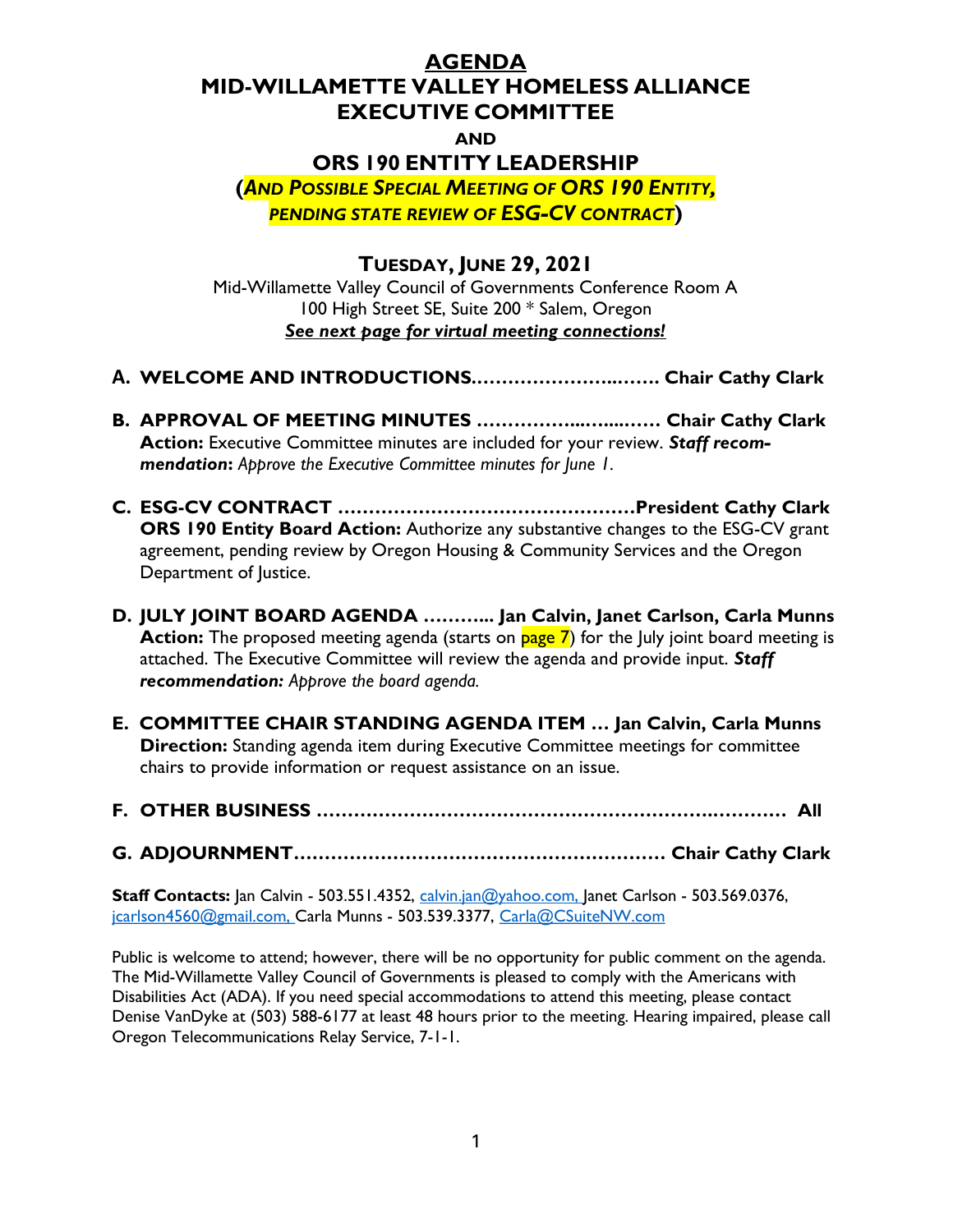## AGENDA

#### MID-WILLAMETTE VALLEY HOMELESS ALLIANCE EXECUTIVE COMMITTEE

### AND

# ORS 190 ENTITY LEADERSHIP

(AND POSSIBLE SPECIAL MEETING OF ORS 190 ENTITY, PENDING STATE REVIEW OF ESG-CV CONTRACT)

# TUESDAY, JUNE 29, 2021

Mid-Willamette Valley Council of Governments Conference Room A 100 High Street SE, Suite 200 \* Salem, Oregon See next page for virtual meeting connections!

- A. WELCOME AND INTRODUCTIONS.…………………..……. Chair Cathy Clark
- B. APPROVAL OF MEETING MINUTES ……………...…....…… Chair Cathy Clark Action: Executive Committee minutes are included for your review. Staff recommendation: Approve the Executive Committee minutes for lune 1.
- C. ESG-CV CONTRACT …………………………………………President Cathy Clark ORS 190 Entity Board Action: Authorize any substantive changes to the ESG-CV grant agreement, pending review by Oregon Housing & Community Services and the Oregon Department of Justice.
- D. JULY JOINT BOARD AGENDA ………... Jan Calvin, Janet Carlson, Carla Munns Action: The proposed meeting agenda (starts on page 7) for the July joint board meeting is attached. The Executive Committee will review the agenda and provide input. Staff recommendation: Approve the board agenda.
- E. COMMITTEE CHAIR STANDING AGENDA ITEM … Jan Calvin, Carla Munns **Direction:** Standing agenda item during Executive Committee meetings for committee chairs to provide information or request assistance on an issue.
- F. OTHER BUSINESS ……………………………………………………….………… All

G. ADJOURNMENT…………………………………………………… Chair Cathy Clark

**Staff Contacts:** Jan Calvin - 503.551.4352, calvin.jan@yahoo.com, Janet Carlson - 503.569.0376, jcarlson4560@gmail.com, Carla Munns - 503.539.3377, Carla@CSuiteNW.com

Public is welcome to attend; however, there will be no opportunity for public comment on the agenda. The Mid-Willamette Valley Council of Governments is pleased to comply with the Americans with Disabilities Act (ADA). If you need special accommodations to attend this meeting, please contact Denise VanDyke at (503) 588-6177 at least 48 hours prior to the meeting. Hearing impaired, please call Oregon Telecommunications Relay Service, 7-1-1.